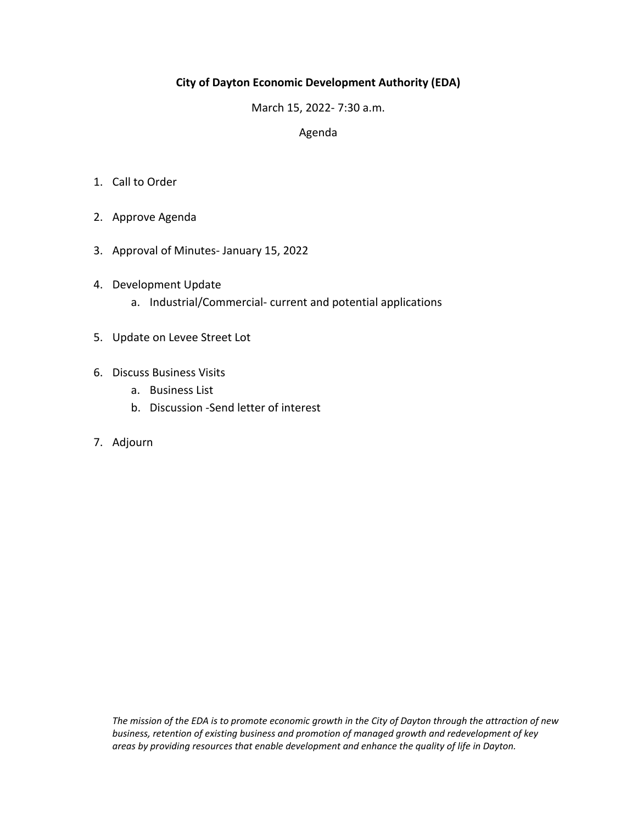# **City of Dayton Economic Development Authority (EDA)**

March 15, 2022‐ 7:30 a.m.

### Agenda

- 1. Call to Order
- 2. Approve Agenda
- 3. Approval of Minutes‐ January 15, 2022
- 4. Development Update
	- a. Industrial/Commercial‐ current and potential applications
- 5. Update on Levee Street Lot
- 6. Discuss Business Visits
	- a. Business List
	- b. Discussion ‐Send letter of interest
- 7. Adjourn

*The mission of the EDA is to promote economic growth in the City of Dayton through the attraction of new business, retention of existing business and promotion of managed growth and redevelopment of key areas by providing resources that enable development and enhance the quality of life in Dayton.*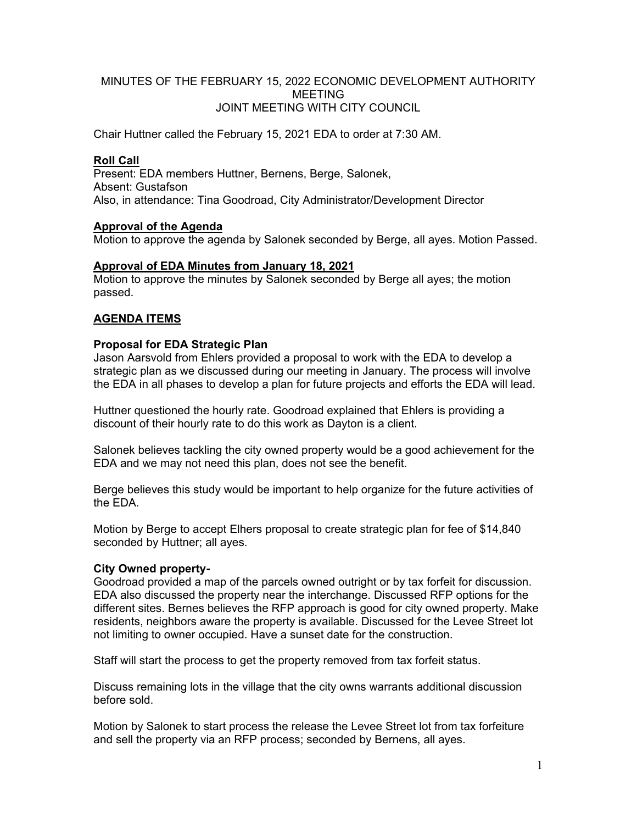### MINUTES OF THE FEBRUARY 15, 2022 ECONOMIC DEVELOPMENT AUTHORITY MEETING JOINT MEETING WITH CITY COUNCIL

Chair Huttner called the February 15, 2021 EDA to order at 7:30 AM.

#### **Roll Call**

Present: EDA members Huttner, Bernens, Berge, Salonek, Absent: Gustafson Also, in attendance: Tina Goodroad, City Administrator/Development Director

### **Approval of the Agenda**

Motion to approve the agenda by Salonek seconded by Berge, all ayes. Motion Passed.

### **Approval of EDA Minutes from January 18, 2021**

Motion to approve the minutes by Salonek seconded by Berge all ayes; the motion passed.

## **AGENDA ITEMS**

### **Proposal for EDA Strategic Plan**

Jason Aarsvold from Ehlers provided a proposal to work with the EDA to develop a strategic plan as we discussed during our meeting in January. The process will involve the EDA in all phases to develop a plan for future projects and efforts the EDA will lead.

Huttner questioned the hourly rate. Goodroad explained that Ehlers is providing a discount of their hourly rate to do this work as Dayton is a client.

Salonek believes tackling the city owned property would be a good achievement for the EDA and we may not need this plan, does not see the benefit.

Berge believes this study would be important to help organize for the future activities of the EDA.

Motion by Berge to accept Elhers proposal to create strategic plan for fee of \$14,840 seconded by Huttner; all ayes.

## **City Owned property-**

Goodroad provided a map of the parcels owned outright or by tax forfeit for discussion. EDA also discussed the property near the interchange. Discussed RFP options for the different sites. Bernes believes the RFP approach is good for city owned property. Make residents, neighbors aware the property is available. Discussed for the Levee Street lot not limiting to owner occupied. Have a sunset date for the construction.

Staff will start the process to get the property removed from tax forfeit status.

Discuss remaining lots in the village that the city owns warrants additional discussion before sold.

Motion by Salonek to start process the release the Levee Street lot from tax forfeiture and sell the property via an RFP process; seconded by Bernens, all ayes.